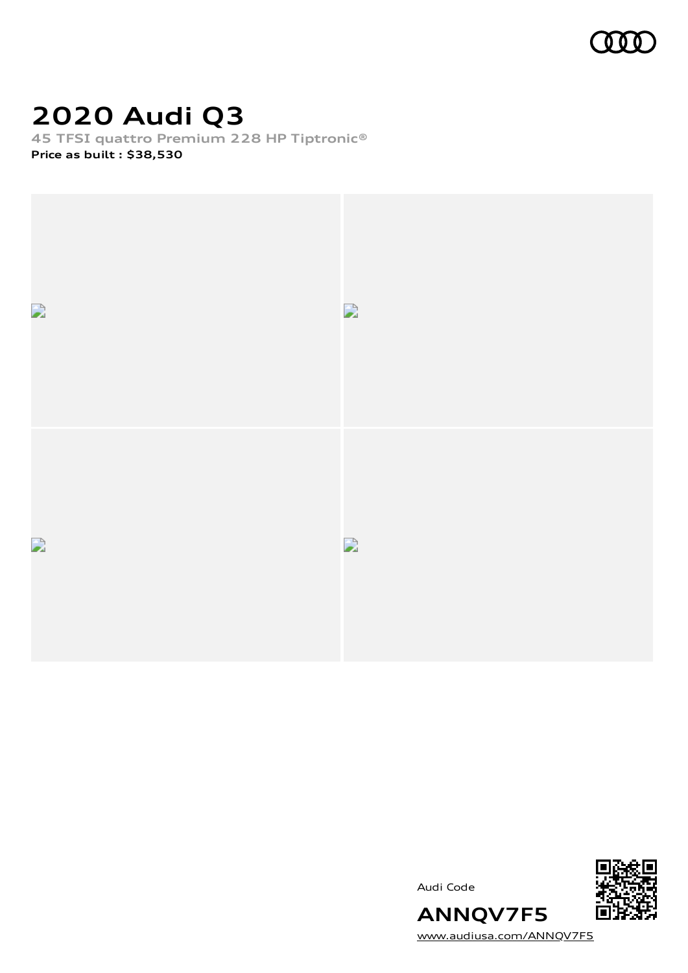

# **2020 Audi Q3**

**45 TFSI quattro Premium 228 HP Tiptronic® Price as built [:](#page-9-0) \$38,530**



Audi Code



[www.audiusa.com/ANNQV7F5](https://www.audiusa.com/ANNQV7F5)

**ANNQV7F5**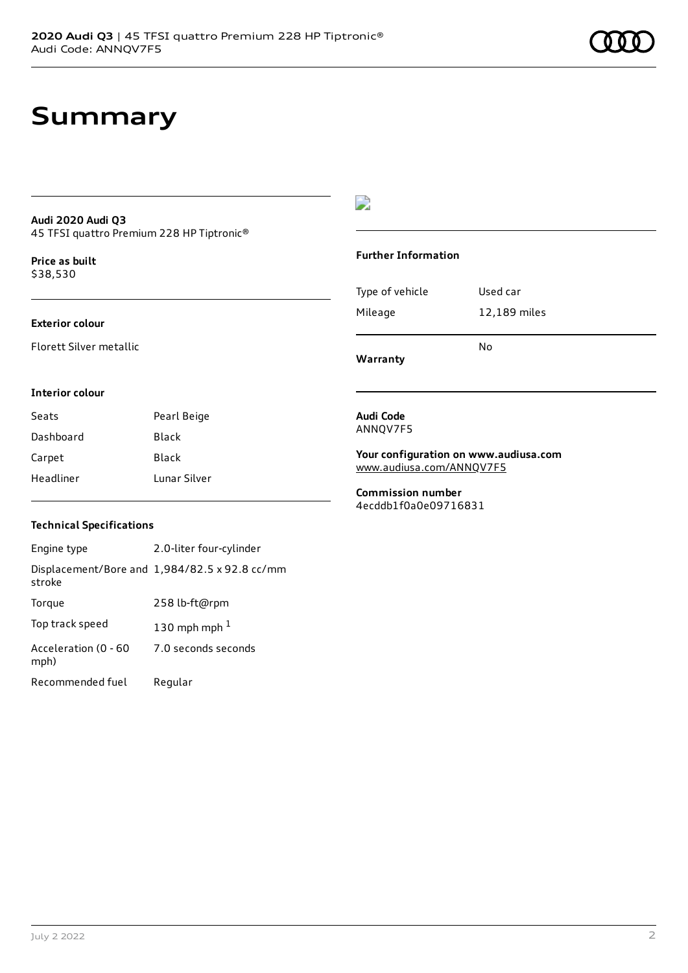# **Summary**

#### **Audi 2020 Audi Q3** 45 TFSI quattro Premium 228 HP Tiptronic®

**Price as buil[t](#page-9-0)** \$38,530

## **Exterior colour**

Florett Silver metallic

### **Interior colour**

| Seats     | Pearl Beige  |
|-----------|--------------|
| Dashboard | <b>Black</b> |
| Carpet    | Black        |
| Headliner | Tunar Silver |

# $\overline{\phantom{a}}$

## **Further Information**

|                 | N٥           |
|-----------------|--------------|
| Mileage         | 12,189 miles |
| Type of vehicle | Used car     |

**Warranty**

#### **Audi Code** ANNQV7F5

**Your configuration on www.audiusa.com** [www.audiusa.com/ANNQV7F5](https://www.audiusa.com/ANNQV7F5)

**Commission number** 4ecddb1f0a0e09716831

### **Technical Specifications**

| Engine type                  | 2.0-liter four-cylinder                       |
|------------------------------|-----------------------------------------------|
| stroke                       | Displacement/Bore and 1,984/82.5 x 92.8 cc/mm |
| Torque                       | 258 lb-ft@rpm                                 |
| Top track speed              | 130 mph mph $1$                               |
| Acceleration (0 - 60<br>mph) | 7.0 seconds seconds                           |
| Recommended fuel             | Regular                                       |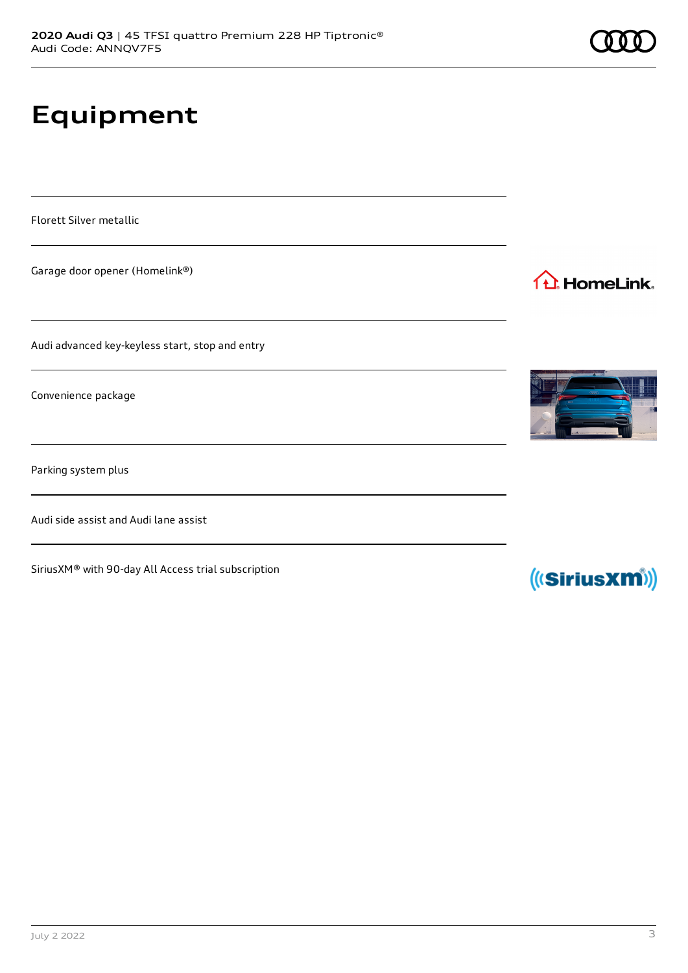# **Equipment**

Florett Silver metallic

Garage door opener (Homelink®)

Audi advanced key-keyless start, stop and entry

Convenience package

Parking system plus

Audi side assist and Audi lane assist

SiriusXM® with 90-day All Access trial subscription









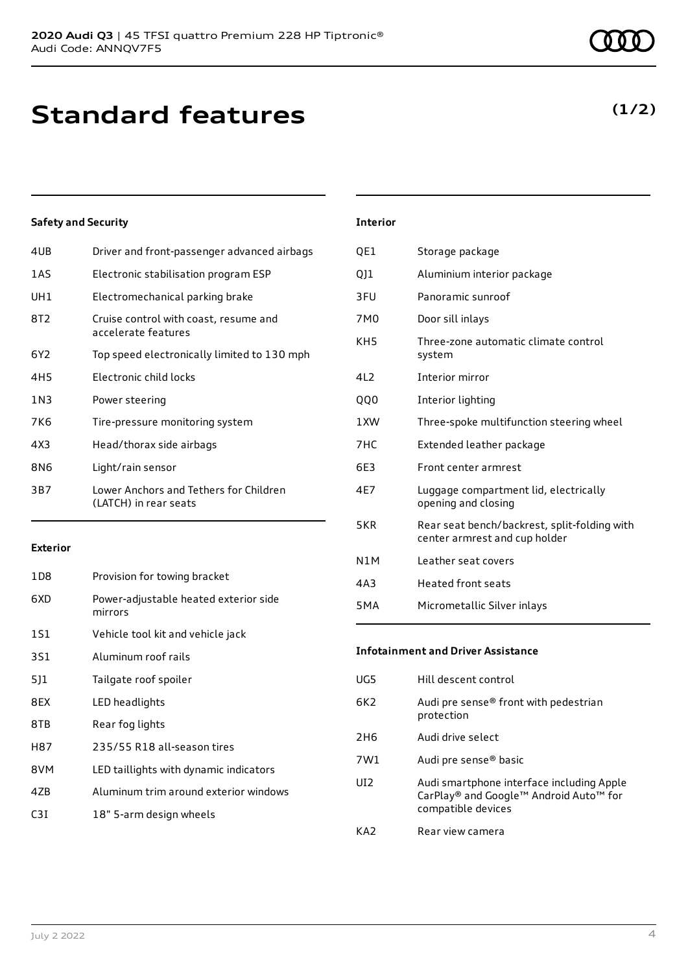# **Standard features**

# **Safety and Security**

| 4UB             | Driver and front-passenger advanced airbags                     |
|-----------------|-----------------------------------------------------------------|
| 1AS             | Electronic stabilisation program ESP                            |
| UH1             | Electromechanical parking brake                                 |
| 8T2             | Cruise control with coast, resume and<br>accelerate features    |
| 6Y2             | Top speed electronically limited to 130 mph                     |
| 4H <sub>5</sub> | Electronic child locks                                          |
| 1N3             | Power steering                                                  |
| 7K6             | Tire-pressure monitoring system                                 |
| 4X3             | Head/thorax side airbags                                        |
| 8N6             | Light/rain sensor                                               |
| 3B7             | Lower Anchors and Tethers for Children<br>(LATCH) in rear seats |
|                 |                                                                 |

### **Exterior**

| 1D <sub>8</sub> | Provision for towing bracket                     |
|-----------------|--------------------------------------------------|
| 6XD             | Power-adjustable heated exterior side<br>mirrors |
| 1S1             | Vehicle tool kit and vehicle jack                |
| 3S1             | Aluminum roof rails                              |
| 5]1             | Tailgate roof spoiler                            |
| 8EX             | LED headlights                                   |
| 8TB             | Rear fog lights                                  |
| H87             | 235/55 R18 all-season tires                      |
| 8VM             | LED taillights with dynamic indicators           |
| 47 <sub>B</sub> | Aluminum trim around exterior windows            |
| C3I             | 18" 5-arm design wheels                          |
|                 |                                                  |

## **Interior**

| QE1              | Storage package                                                               |
|------------------|-------------------------------------------------------------------------------|
| QJ1              | Aluminium interior package                                                    |
| 3FU              | Panoramic sunroof                                                             |
| 7M <sub>0</sub>  | Door sill inlays                                                              |
| KH5              | Three-zone automatic climate control<br>system                                |
| 4L2              | Interior mirror                                                               |
| QQ0              | Interior lighting                                                             |
| 1XW              | Three-spoke multifunction steering wheel                                      |
| 7HC              | Extended leather package                                                      |
| 6E3              | Front center armrest                                                          |
| 4E7              | Luggage compartment lid, electrically<br>opening and closing                  |
| 5KR              | Rear seat bench/backrest, split-folding with<br>center armrest and cup holder |
| N <sub>1</sub> M | Leather seat covers                                                           |
| 4A <sub>3</sub>  | <b>Heated front seats</b>                                                     |
| 5 <sub>M</sub> A | Micrometallic Silver inlays                                                   |

## **Infotainment and Driver Assistance**

| UG5  | Hill descent control                                                                                      |
|------|-----------------------------------------------------------------------------------------------------------|
| 6K2. | Audi pre sense® front with pedestrian<br>protection                                                       |
| 2H6  | Audi drive select                                                                                         |
| 7W1  | Audi pre sense <sup>®</sup> basic                                                                         |
| UT2. | Audi smartphone interface including Apple<br>CarPlay® and Google™ Android Auto™ for<br>compatible devices |
| KA2  | Rear view camera                                                                                          |
|      |                                                                                                           |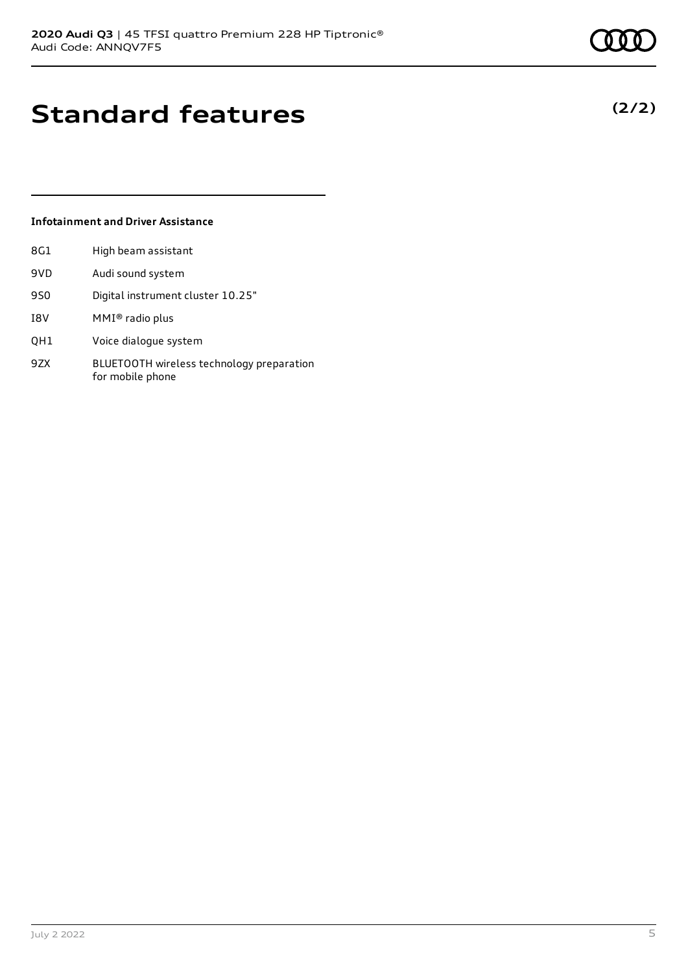**(2/2)**

# **Standard features**

## **Infotainment and Driver Assistance**

| 8G1  | High beam assistant |
|------|---------------------|
| ---- |                     |

- 9VD Audi sound system
- 9S0 Digital instrument cluster 10.25"
- I8V MMI® radio plus
- QH1 Voice dialogue system
- 9ZX BLUETOOTH wireless technology preparation for mobile phone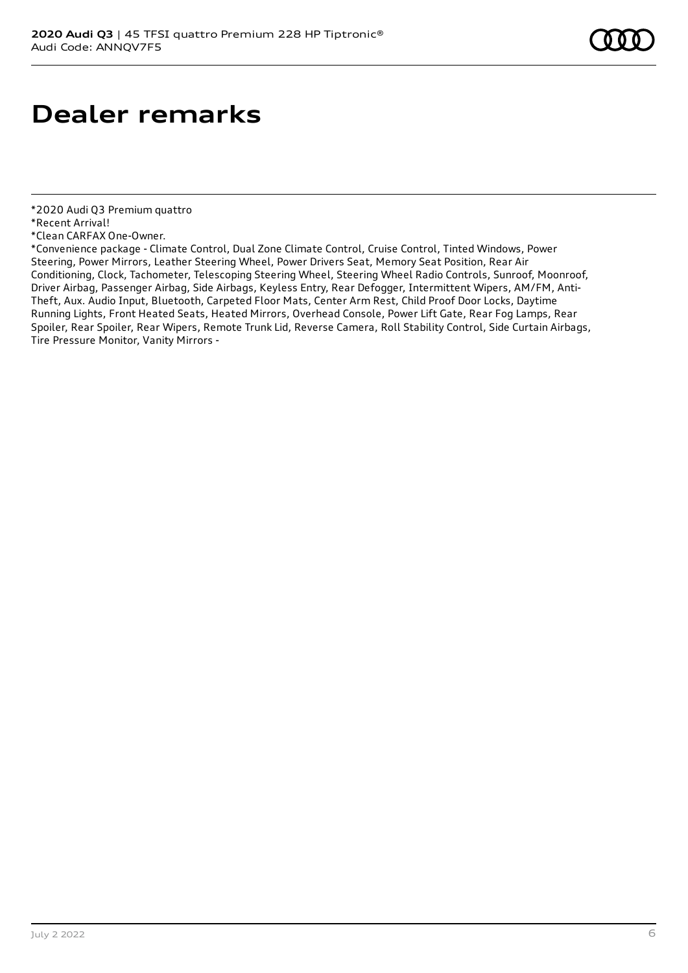# **Dealer remarks**

- \*2020 Audi Q3 Premium quattro
- \*Recent Arrival!

\*Convenience package - Climate Control, Dual Zone Climate Control, Cruise Control, Tinted Windows, Power Steering, Power Mirrors, Leather Steering Wheel, Power Drivers Seat, Memory Seat Position, Rear Air Conditioning, Clock, Tachometer, Telescoping Steering Wheel, Steering Wheel Radio Controls, Sunroof, Moonroof, Driver Airbag, Passenger Airbag, Side Airbags, Keyless Entry, Rear Defogger, Intermittent Wipers, AM/FM, Anti-Theft, Aux. Audio Input, Bluetooth, Carpeted Floor Mats, Center Arm Rest, Child Proof Door Locks, Daytime Running Lights, Front Heated Seats, Heated Mirrors, Overhead Console, Power Lift Gate, Rear Fog Lamps, Rear Spoiler, Rear Spoiler, Rear Wipers, Remote Trunk Lid, Reverse Camera, Roll Stability Control, Side Curtain Airbags, Tire Pressure Monitor, Vanity Mirrors -

<sup>\*</sup>Clean CARFAX One-Owner.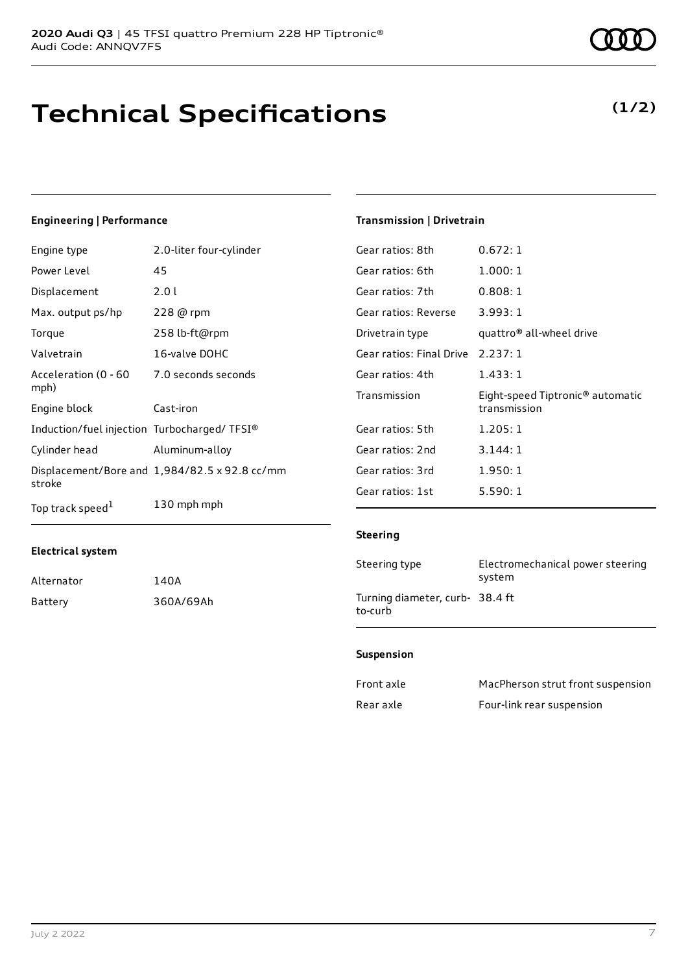# **Technical Specifications**

**(1/2)**

## **Engineering | Performance**

| Engine type                                 | 2.0-liter four-cylinder                       |
|---------------------------------------------|-----------------------------------------------|
| Power Level                                 | 45                                            |
| Displacement                                | 2.0 l                                         |
| Max. output ps/hp                           | 228 @ rpm                                     |
| Torque                                      | 258 lb-ft@rpm                                 |
| Valvetrain                                  | 16-valve DOHC                                 |
| Acceleration (0 - 60<br>mph)                | 7.0 seconds seconds                           |
| Engine block                                | Cast-iron                                     |
| Induction/fuel injection Turbocharged/TFSI® |                                               |
| Cylinder head                               | Aluminum-alloy                                |
| stroke                                      | Displacement/Bore and 1,984/82.5 x 92.8 cc/mm |
| Top track speed <sup>1</sup>                | 130 mph mph                                   |

### **Transmission | Drivetrain**

| Gear ratios: 8th         | 0.672:1                                                      |
|--------------------------|--------------------------------------------------------------|
| Gear ratios: 6th         | 1.000:1                                                      |
| Gear ratios: 7th         | 0.808:1                                                      |
| Gear ratios: Reverse     | 3.993:1                                                      |
| Drivetrain type          | quattro® all-wheel drive                                     |
| Gear ratios: Final Drive | 2.237:1                                                      |
| Gear ratios: 4th         | 1.433:1                                                      |
| Transmission             | Eight-speed Tiptronic <sup>®</sup> automatic<br>transmission |
| Gear ratios: 5th         | 1.205:1                                                      |
| Gear ratios: 2nd         | 3.144:1                                                      |
| Gear ratios: 3rd         | 1.950:1                                                      |
| Gear ratios: 1st         | 5.590:1                                                      |

### **Steering**

| Steering type                              | Electromechanical power steering<br>system |
|--------------------------------------------|--------------------------------------------|
| Turning diameter, curb- 38.4 ft<br>to-curb |                                            |

### **Suspension**

| Front axle | MacPherson strut front suspension |
|------------|-----------------------------------|
| Rear axle  | Four-link rear suspension         |

**Electrical system**

Alternator 140A

Battery 360A/69Ah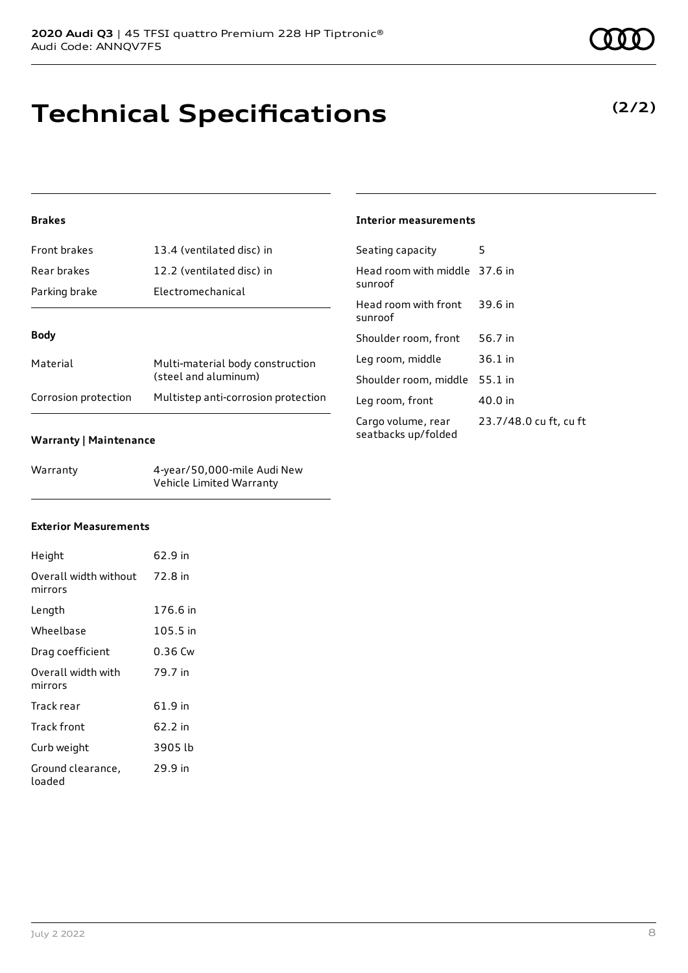# **Technical Specifications**

# **Brakes**

| Front brakes         | 13.4 (ventilated disc) in                                |  |
|----------------------|----------------------------------------------------------|--|
| Rear brakes          | 12.2 (ventilated disc) in                                |  |
| Parking brake        | Electromechanical                                        |  |
|                      |                                                          |  |
| <b>Body</b>          |                                                          |  |
| Material             | Multi-material body construction<br>(steel and aluminum) |  |
| Corrosion protection | Multistep anti-corrosion protection                      |  |

### **Warranty | Maintenance**

| Warranty | 4-year/50,000-mile Audi New |
|----------|-----------------------------|
|          | Vehicle Limited Warranty    |

# **Interior measurements**

| Seating capacity                          | 5                      |
|-------------------------------------------|------------------------|
| Head room with middle 37.6 in<br>sunroof  |                        |
| Head room with front<br>sunroof           | 39.6 in                |
| Shoulder room, front                      | 56.7 in                |
| Leg room, middle                          | $36.1$ in              |
| Shoulder room, middle                     | $55.1$ in              |
| Leg room, front                           | 40.0 in                |
| Cargo volume, rear<br>seatbacks up/folded | 23.7/48.0 cu ft, cu ft |

## **Exterior Measurements**

| Height                                   | 62.9 in  |
|------------------------------------------|----------|
| Overall width without 72.8 in<br>mirrors |          |
| Length                                   | 176.6 in |
| Wheelbase                                | 105.5 in |
| Drag coefficient                         | 0.36 Cw  |
| Overall width with<br>mirrors            | 79.7 in  |
| Track rear                               | 61.9 in  |
| Track front                              | 62.2 in  |
| Curb weight                              | 3905 lb  |
| Ground clearance,<br>loaded              | 29.9 in  |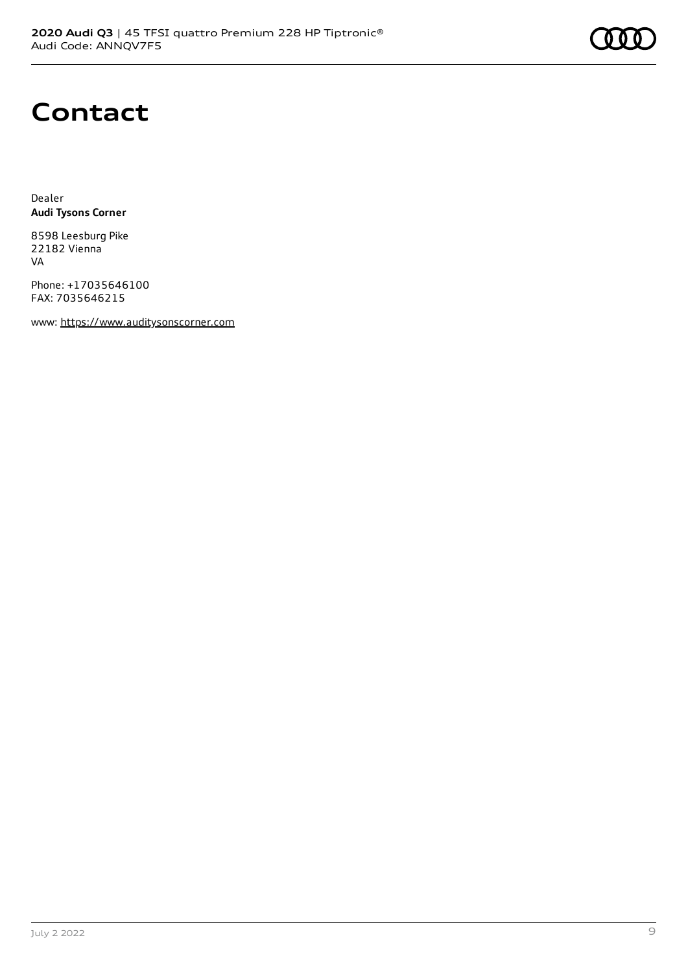

# **Contact**

Dealer **Audi Tysons Corner**

8598 Leesburg Pike 22182 Vienna VA

Phone: +17035646100 FAX: 7035646215

www: [https://www.auditysonscorner.com](https://www.auditysonscorner.com/)